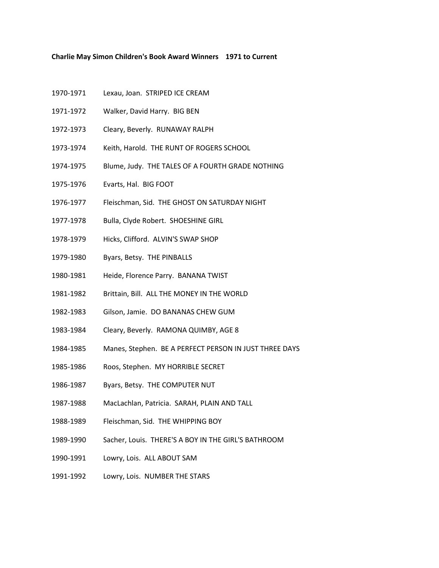## **Charlie May Simon Children's Book Award Winners 1971 to Current**

- 1970-1971 Lexau, Joan. STRIPED ICE CREAM
- 1971-1972 Walker, David Harry. BIG BEN
- 1972-1973 Cleary, Beverly. RUNAWAY RALPH
- 1973-1974 Keith, Harold. THE RUNT OF ROGERS SCHOOL
- 1974-1975 Blume, Judy. THE TALES OF A FOURTH GRADE NOTHING
- 1975-1976 Evarts, Hal. BIG FOOT
- 1976-1977 Fleischman, Sid. THE GHOST ON SATURDAY NIGHT
- 1977-1978 Bulla, Clyde Robert. SHOESHINE GIRL
- 1978-1979 Hicks, Clifford. ALVIN'S SWAP SHOP
- 1979-1980 Byars, Betsy. THE PINBALLS
- 1980-1981 Heide, Florence Parry. BANANA TWIST
- 1981-1982 Brittain, Bill. ALL THE MONEY IN THE WORLD
- 1982-1983 Gilson, Jamie. DO BANANAS CHEW GUM
- 1983-1984 Cleary, Beverly. RAMONA QUIMBY, AGE 8
- 1984-1985 Manes, Stephen. BE A PERFECT PERSON IN JUST THREE DAYS
- 1985-1986 Roos, Stephen. MY HORRIBLE SECRET
- 1986-1987 Byars, Betsy. THE COMPUTER NUT
- 1987-1988 MacLachlan, Patricia. SARAH, PLAIN AND TALL
- 1988-1989 Fleischman, Sid. THE WHIPPING BOY
- 1989-1990 Sacher, Louis. THERE'S A BOY IN THE GIRL'S BATHROOM
- 1990-1991 Lowry, Lois. ALL ABOUT SAM
- 1991-1992 Lowry, Lois. NUMBER THE STARS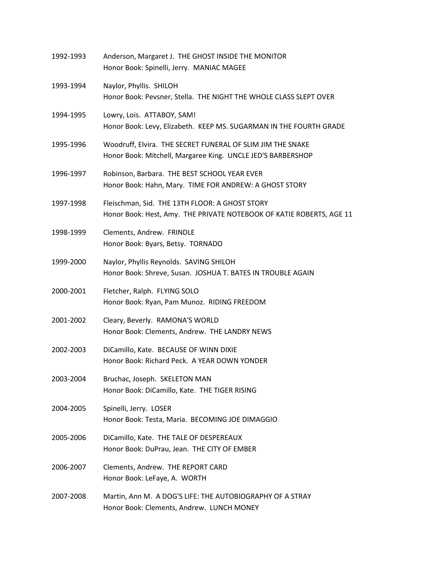| 1992-1993 | Anderson, Margaret J. THE GHOST INSIDE THE MONITOR<br>Honor Book: Spinelli, Jerry. MANIAC MAGEE                           |
|-----------|---------------------------------------------------------------------------------------------------------------------------|
| 1993-1994 | Naylor, Phyllis. SHILOH<br>Honor Book: Pevsner, Stella. THE NIGHT THE WHOLE CLASS SLEPT OVER                              |
| 1994-1995 | Lowry, Lois. ATTABOY, SAM!<br>Honor Book: Levy, Elizabeth. KEEP MS. SUGARMAN IN THE FOURTH GRADE                          |
| 1995-1996 | Woodruff, Elvira. THE SECRET FUNERAL OF SLIM JIM THE SNAKE<br>Honor Book: Mitchell, Margaree King. UNCLE JED'S BARBERSHOP |
| 1996-1997 | Robinson, Barbara. THE BEST SCHOOL YEAR EVER<br>Honor Book: Hahn, Mary. TIME FOR ANDREW: A GHOST STORY                    |
| 1997-1998 | Fleischman, Sid. THE 13TH FLOOR: A GHOST STORY<br>Honor Book: Hest, Amy. THE PRIVATE NOTEBOOK OF KATIE ROBERTS, AGE 11    |
| 1998-1999 | Clements, Andrew. FRINDLE<br>Honor Book: Byars, Betsy. TORNADO                                                            |
| 1999-2000 | Naylor, Phyllis Reynolds. SAVING SHILOH<br>Honor Book: Shreve, Susan. JOSHUA T. BATES IN TROUBLE AGAIN                    |
| 2000-2001 | Fletcher, Ralph. FLYING SOLO<br>Honor Book: Ryan, Pam Munoz. RIDING FREEDOM                                               |
| 2001-2002 | Cleary, Beverly. RAMONA'S WORLD<br>Honor Book: Clements, Andrew. THE LANDRY NEWS                                          |
| 2002-2003 | DiCamillo, Kate. BECAUSE OF WINN DIXIE<br>Honor Book: Richard Peck. A YEAR DOWN YONDER                                    |
| 2003-2004 | Bruchac, Joseph. SKELETON MAN<br>Honor Book: DiCamillo, Kate. THE TIGER RISING                                            |
| 2004-2005 | Spinelli, Jerry. LOSER<br>Honor Book: Testa, Maria. BECOMING JOE DIMAGGIO                                                 |
| 2005-2006 | DiCamillo, Kate. THE TALE OF DESPEREAUX<br>Honor Book: DuPrau, Jean. THE CITY OF EMBER                                    |
| 2006-2007 | Clements, Andrew. THE REPORT CARD<br>Honor Book: LeFaye, A. WORTH                                                         |
| 2007-2008 | Martin, Ann M. A DOG'S LIFE: THE AUTOBIOGRAPHY OF A STRAY<br>Honor Book: Clements, Andrew. LUNCH MONEY                    |